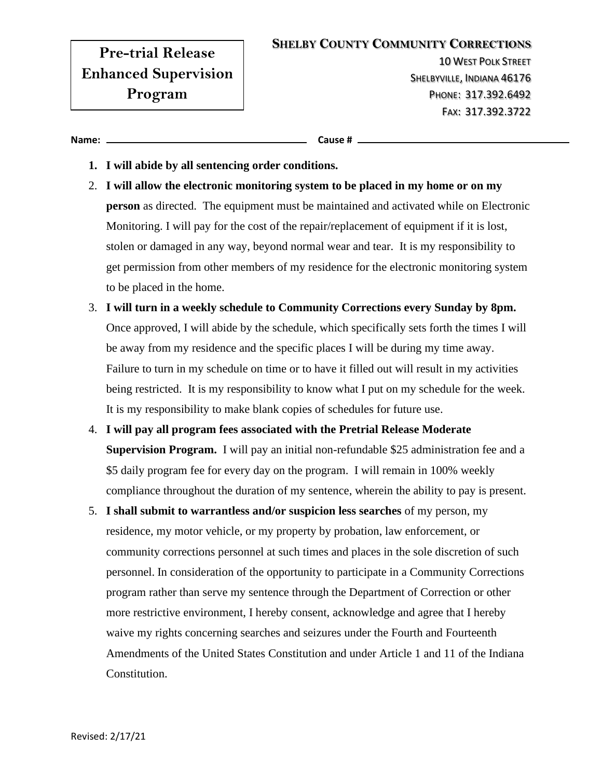## **Pre-trial Release Enhanced Supervision Program**

10 WEST POLK STREET SHELBYVILLE, INDIANA 46176 PHONE: 317.392.6492 FAX: 317.392.3722

**Name: Cause #**

- **1. I will abide by all sentencing order conditions.**
- 2. **I will allow the electronic monitoring system to be placed in my home or on my person** as directed. The equipment must be maintained and activated while on Electronic Monitoring. I will pay for the cost of the repair/replacement of equipment if it is lost, stolen or damaged in any way, beyond normal wear and tear. It is my responsibility to get permission from other members of my residence for the electronic monitoring system to be placed in the home.
- 3. **I will turn in a weekly schedule to Community Corrections every Sunday by 8pm.** Once approved, I will abide by the schedule, which specifically sets forth the times I will be away from my residence and the specific places I will be during my time away. Failure to turn in my schedule on time or to have it filled out will result in my activities being restricted. It is my responsibility to know what I put on my schedule for the week. It is my responsibility to make blank copies of schedules for future use.
- 4. **I will pay all program fees associated with the Pretrial Release Moderate Supervision Program.** I will pay an initial non-refundable \$25 administration fee and a \$5 daily program fee for every day on the program. I will remain in 100% weekly compliance throughout the duration of my sentence, wherein the ability to pay is present.
- 5. **I shall submit to warrantless and/or suspicion less searches** of my person, my residence, my motor vehicle, or my property by probation, law enforcement, or community corrections personnel at such times and places in the sole discretion of such personnel. In consideration of the opportunity to participate in a Community Corrections program rather than serve my sentence through the Department of Correction or other more restrictive environment, I hereby consent, acknowledge and agree that I hereby waive my rights concerning searches and seizures under the Fourth and Fourteenth Amendments of the United States Constitution and under Article 1 and 11 of the Indiana Constitution.